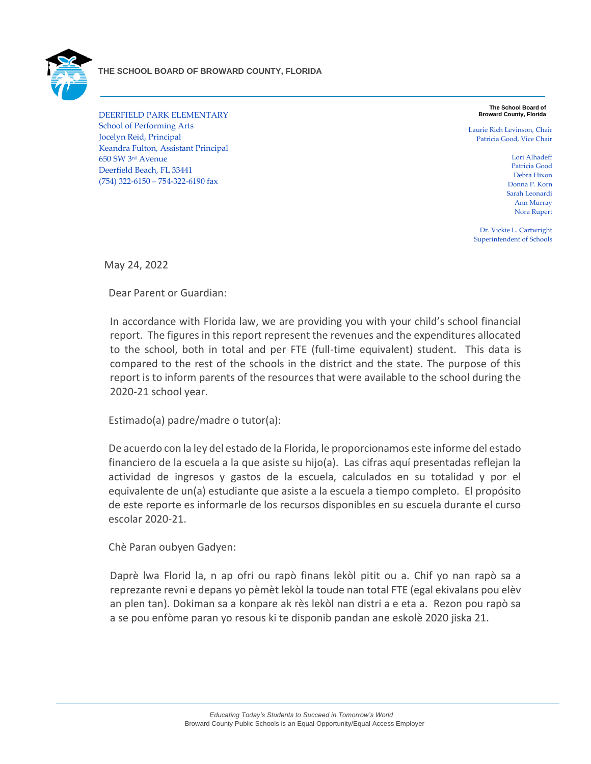

DEERFIELD PARK ELEMENTARY School of Performing Arts Jocelyn Reid, Principal Keandra Fulton, Assistant Principal 650 SW 3rd Avenue Deerfield Beach, FL 33441 (754) 322-6150 – 754-322-6190 fax

**The School Board of Broward County, Florida**

Laurie Rich Levinson, Chair Patricia Good, Vice Chair

> Lori Alhadeff Patricia Good Debra Hixon Donna P. Korn Sarah Leonardi Ann Murray Nora Rupert

Dr. Vickie L. Cartwright Superintendent of Schools

May 24, 2022

Dear Parent or Guardian:

In accordance with Florida law, we are providing you with your child's school financial report. The figures in this report represent the revenues and the expenditures allocated to the school, both in total and per FTE (full-time equivalent) student. This data is compared to the rest of the schools in the district and the state. The purpose of this report is to inform parents of the resources that were available to the school during the 2020-21 school year.

Estimado(a) padre/madre o tutor(a):

De acuerdo con la ley del estado de la Florida, le proporcionamos este informe del estado financiero de la escuela a la que asiste su hijo(a). Las cifras aquí presentadas reflejan la actividad de ingresos y gastos de la escuela, calculados en su totalidad y por el equivalente de un(a) estudiante que asiste a la escuela a tiempo completo. El propósito de este reporte es informarle de los recursos disponibles en su escuela durante el curso escolar 2020-21.

Chè Paran oubyen Gadyen:

Daprè lwa Florid la, n ap ofri ou rapò finans lekòl pitit ou a. Chif yo nan rapò sa a reprezante revni e depans yo pèmèt lekòl la toude nan total FTE (egal ekivalans pou elèv an plen tan). Dokiman sa a konpare ak rès lekòl nan distri a e eta a. Rezon pou rapò sa a se pou enfòme paran yo resous ki te disponib pandan ane eskolè 2020 jiska 21.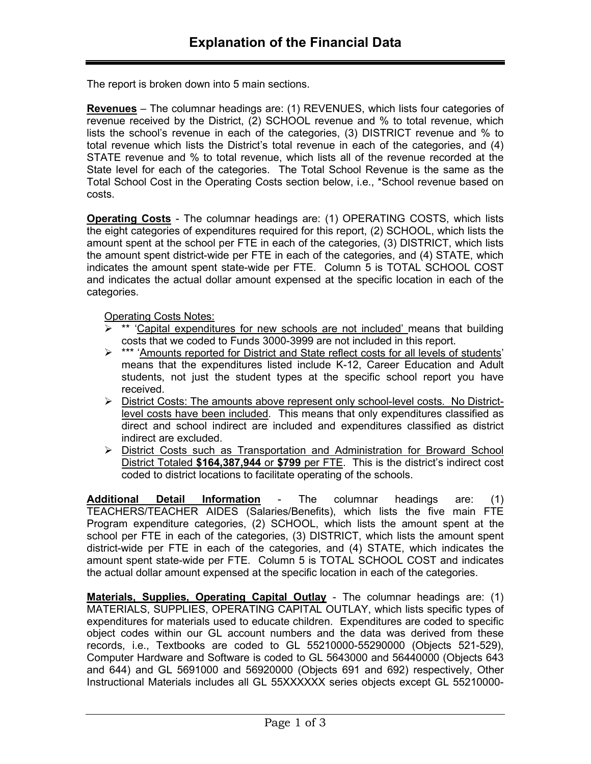The report is broken down into 5 main sections.

**Revenues** – The columnar headings are: (1) REVENUES, which lists four categories of revenue received by the District, (2) SCHOOL revenue and % to total revenue, which lists the school's revenue in each of the categories, (3) DISTRICT revenue and % to total revenue which lists the District's total revenue in each of the categories, and (4) STATE revenue and % to total revenue, which lists all of the revenue recorded at the State level for each of the categories. The Total School Revenue is the same as the Total School Cost in the Operating Costs section below, i.e., \*School revenue based on costs.

**Operating Costs** - The columnar headings are: (1) OPERATING COSTS, which lists the eight categories of expenditures required for this report, (2) SCHOOL, which lists the amount spent at the school per FTE in each of the categories, (3) DISTRICT, which lists the amount spent district-wide per FTE in each of the categories, and (4) STATE, which indicates the amount spent state-wide per FTE. Column 5 is TOTAL SCHOOL COST and indicates the actual dollar amount expensed at the specific location in each of the categories.

Operating Costs Notes:

- \*\* 'Capital expenditures for new schools are not included' means that building costs that we coded to Funds 3000-3999 are not included in this report.
- \*\*\* 'Amounts reported for District and State reflect costs for all levels of students' means that the expenditures listed include K-12, Career Education and Adult students, not just the student types at the specific school report you have received.
- $\triangleright$  District Costs: The amounts above represent only school-level costs. No Districtlevel costs have been included. This means that only expenditures classified as direct and school indirect are included and expenditures classified as district indirect are excluded.
- District Costs such as Transportation and Administration for Broward School District Totaled **\$164,387,944** or **\$799** per FTE. This is the district's indirect cost coded to district locations to facilitate operating of the schools.

**Additional Detail Information** - The columnar headings are: (1) TEACHERS/TEACHER AIDES (Salaries/Benefits), which lists the five main FTE Program expenditure categories, (2) SCHOOL, which lists the amount spent at the school per FTE in each of the categories, (3) DISTRICT, which lists the amount spent district-wide per FTE in each of the categories, and (4) STATE, which indicates the amount spent state-wide per FTE. Column 5 is TOTAL SCHOOL COST and indicates the actual dollar amount expensed at the specific location in each of the categories.

**Materials, Supplies, Operating Capital Outlay** - The columnar headings are: (1) MATERIALS, SUPPLIES, OPERATING CAPITAL OUTLAY, which lists specific types of expenditures for materials used to educate children. Expenditures are coded to specific object codes within our GL account numbers and the data was derived from these records, i.e., Textbooks are coded to GL 55210000-55290000 (Objects 521-529), Computer Hardware and Software is coded to GL 5643000 and 56440000 (Objects 643 and 644) and GL 5691000 and 56920000 (Objects 691 and 692) respectively, Other Instructional Materials includes all GL 55XXXXXX series objects except GL 55210000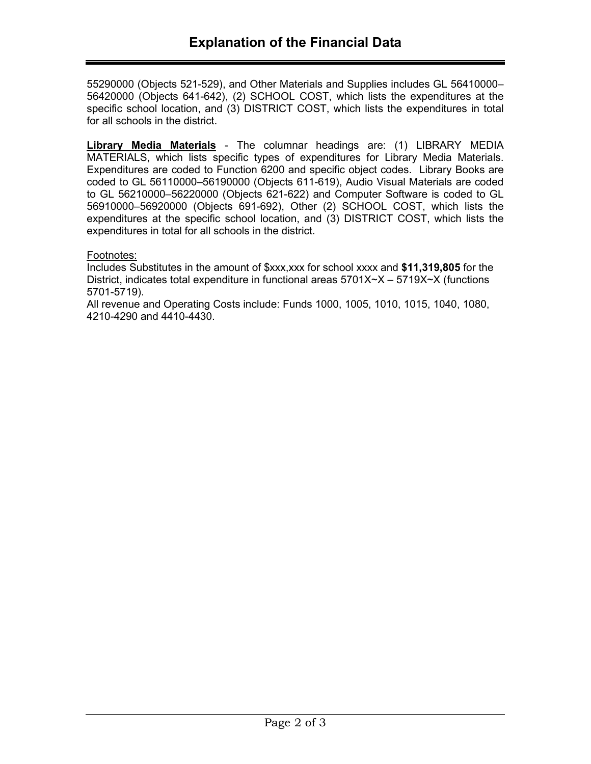55290000 (Objects 521-529), and Other Materials and Supplies includes GL 56410000– 56420000 (Objects 641-642), (2) SCHOOL COST, which lists the expenditures at the specific school location, and (3) DISTRICT COST, which lists the expenditures in total for all schools in the district.

**Library Media Materials** - The columnar headings are: (1) LIBRARY MEDIA MATERIALS, which lists specific types of expenditures for Library Media Materials. Expenditures are coded to Function 6200 and specific object codes. Library Books are coded to GL 56110000–56190000 (Objects 611-619), Audio Visual Materials are coded to GL 56210000–56220000 (Objects 621-622) and Computer Software is coded to GL 56910000–56920000 (Objects 691-692), Other (2) SCHOOL COST, which lists the expenditures at the specific school location, and (3) DISTRICT COST, which lists the expenditures in total for all schools in the district.

## Footnotes:

Includes Substitutes in the amount of \$xxx,xxx for school xxxx and **\$11,319,805** for the District, indicates total expenditure in functional areas 5701X~X – 5719X~X (functions 5701-5719).

All revenue and Operating Costs include: Funds 1000, 1005, 1010, 1015, 1040, 1080, 4210-4290 and 4410-4430.